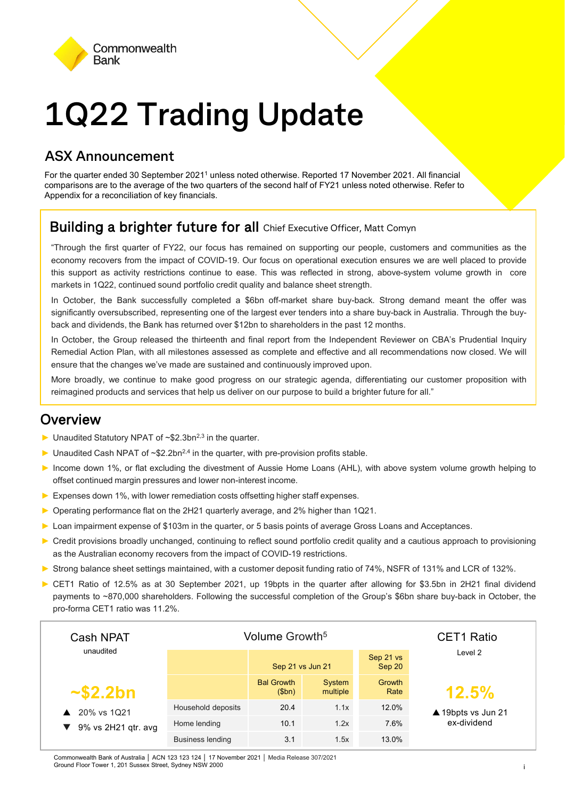

# **1Q22 Trading Update**

#### **ASX Announcement**

For the quarter ended 30 September 2021<sup>1</sup> unless noted otherwise. Reported 17 November 2021. All financial comparisons are to the average of the two quarters of the second half of FY21 unless noted otherwise. Refer to Appendix for a reconciliation of key financials.

### Building a brighter future for all Chief Executive Officer, Matt Comyn

"Through the first quarter of FY22, our focus has remained on supporting our people, customers and communities as the economy recovers from the impact of COVID-19. Our focus on operational execution ensures we are well placed to provide this support as activity restrictions continue to ease. This was reflected in strong, above-system volume growth in core markets in 1Q22, continued sound portfolio credit quality and balance sheet strength.

In October, the Bank successfully completed a \$6bn off-market share buy-back. Strong demand meant the offer was significantly oversubscribed, representing one of the largest ever tenders into a share buy-back in Australia. Through the buyback and dividends, the Bank has returned over \$12bn to shareholders in the past 12 months.

In October, the Group released the thirteenth and final report from the Independent Reviewer on CBA's Prudential Inquiry Remedial Action Plan, with all milestones assessed as complete and effective and all recommendations now closed. We will ensure that the changes we've made are sustained and continuously improved upon.

More broadly, we continue to make good progress on our strategic agenda, differentiating our customer proposition with reimagined products and services that help us deliver on our purpose to build a brighter future for all."

#### **Overview**

- ► Unaudited Statutory NPAT of ~\$2.3bn2,3 in the quarter.
- $\triangleright$  Unaudited Cash NPAT of ~\$2.2bn<sup>2,4</sup> in the quarter, with pre-provision profits stable.
- ► Income down 1%, or flat excluding the divestment of Aussie Home Loans (AHL), with above system volume growth helping to offset continued margin pressures and lower non-interest income.
- ► Expenses down 1%, with lower remediation costs offsetting higher staff expenses.
- ► Operating performance flat on the 2H21 quarterly average, and 2% higher than 1Q21.
- ► Loan impairment expense of \$103m in the quarter, or 5 basis points of average Gross Loans and Acceptances.
- ► Credit provisions broadly unchanged, continuing to reflect sound portfolio credit quality and a cautious approach to provisioning as the Australian economy recovers from the impact of COVID-19 restrictions.
- ► Strong balance sheet settings maintained, with a customer deposit funding ratio of 74%, NSFR of 131% and LCR of 132%.
- ► CET1 Ratio of 12.5% as at 30 September 2021, up 19bpts in the quarter after allowing for \$3.5bn in 2H21 final dividend payments to ~870,000 shareholders. Following the successful completion of the Group's \$6bn share buy-back in October, the pro-forma CET1 ratio was 11.2%.

| Cash NPAT<br>unaudited             | Volume Growth <sup>5</sup> |                            |                    |                     | <b>CET1 Ratio</b>  |
|------------------------------------|----------------------------|----------------------------|--------------------|---------------------|--------------------|
|                                    |                            | Sep 21 vs Jun 21           |                    | Sep 21 vs<br>Sep 20 | Level 2            |
| $\sim$ \$2.2bn                     |                            | <b>Bal Growth</b><br>\$bh) | System<br>multiple | Growth<br>Rate      | 12.5%              |
| 20% vs 1Q21<br>9% vs 2H21 qtr. avg | Household deposits         | 20.4                       | 1.1x               | 12.0%               | ▲ 19bpts vs Jun 21 |
|                                    | Home lending               | 10.1                       | 1.2x               | 7.6%                | ex-dividend        |
|                                    | <b>Business lending</b>    | 3.1                        | 1.5x               | 13.0%               |                    |

Commonwealth Bank of Australia | ACN 123 123 | 17 November 2021 | Media Release 307/2021<br>Ground Floor Tower 1, 201 Sussex Street, Sydney NSW 2000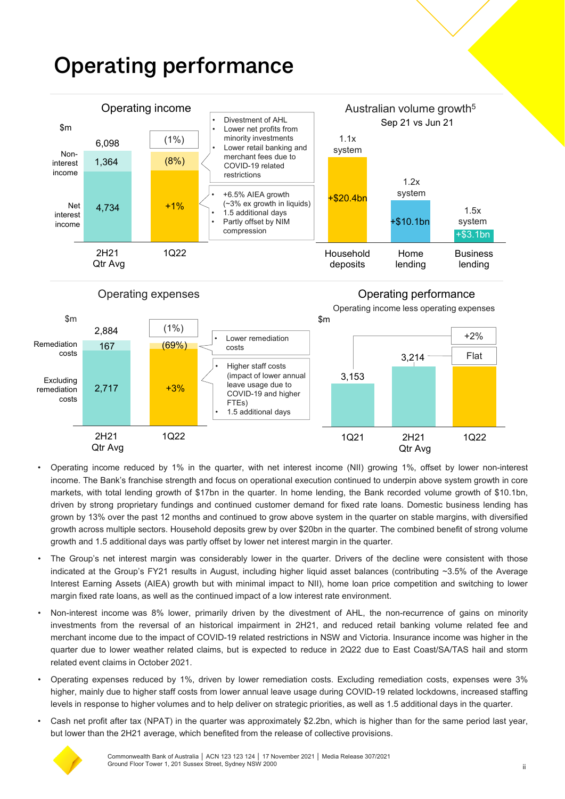#### Household deposits Home lending **Business** lending  $2,717$  +3% 167 (69%) 2,884 4.734 +1% 1,364 (8%) 6.098 2H21 Qtr Avg 1Q22 3,153 3,214 **Operating performance** Operating expenses \$m Operating performance \$m Net interest income Noninterest income \$m Operating income Divestment of AHL Lower net profits from minority investments Lower retail banking and merchant fees due to COVID-19 related restrictions • +6.5% AIEA growth (~3% ex growth in liquids) • 1.5 additional days Partly offset by NIM compression • Higher staff costs (impact of lower annual leave usage due to COVID-19 and higher Sep 21 vs Jun 21 Australian volume growth5 +\$20.4bn +\$3.1bn +\$10.1bn 1.5x system 1.1x system 1.2x system  $(1\%)$ (1%) Excluding remediation Remediation costs • Lower remediation costs Flat Operating income less operating expenses +2%

2H21 Qtr Avg 1Q22 1Q21 2H21 Qtr Avg 1Q22 • Operating income reduced by 1% in the quarter, with net interest income (NII) growing 1%, offset by lower non-interest income. The Bank's franchise strength and focus on operational execution continued to underpin above system growth in core markets, with total lending growth of \$17bn in the quarter. In home lending, the Bank recorded volume growth of \$10.1bn,

FTEs)

• 1.5 additional days

- driven by strong proprietary fundings and continued customer demand for fixed rate loans. Domestic business lending has grown by 13% over the past 12 months and continued to grow above system in the quarter on stable margins, with diversified growth across multiple sectors. Household deposits grew by over \$20bn in the quarter. The combined benefit of strong volume growth and 1.5 additional days was partly offset by lower net interest margin in the quarter.
- The Group's net interest margin was considerably lower in the quarter. Drivers of the decline were consistent with those indicated at the Group's FY21 results in August, including higher liquid asset balances (contributing ~3.5% of the Average Interest Earning Assets (AIEA) growth but with minimal impact to NII), home loan price competition and switching to lower margin fixed rate loans, as well as the continued impact of a low interest rate environment.
- Non-interest income was 8% lower, primarily driven by the divestment of AHL, the non-recurrence of gains on minority investments from the reversal of an historical impairment in 2H21, and reduced retail banking volume related fee and merchant income due to the impact of COVID-19 related restrictions in NSW and Victoria. Insurance income was higher in the quarter due to lower weather related claims, but is expected to reduce in 2Q22 due to East Coast/SA/TAS hail and storm related event claims in October 2021.
- Operating expenses reduced by 1%, driven by lower remediation costs. Excluding remediation costs, expenses were 3% higher, mainly due to higher staff costs from lower annual leave usage during COVID-19 related lockdowns, increased staffing levels in response to higher volumes and to help deliver on strategic priorities, as well as 1.5 additional days in the quarter.
- Cash net profit after tax (NPAT) in the quarter was approximately \$2.2bn, which is higher than for the same period last year, but lower than the 2H21 average, which benefited from the release of collective provisions.



costs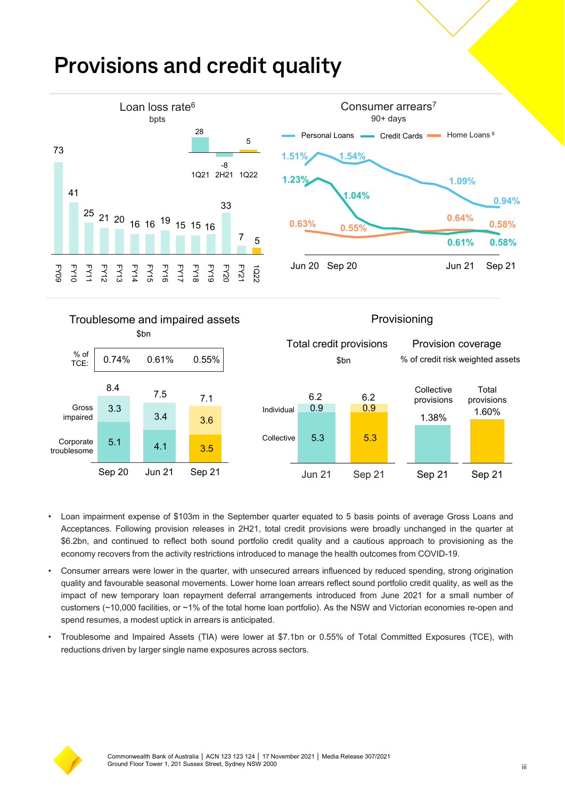### **Provisions and credit quality**





- Loan impairment expense of \$103m in the September quarter equated to 5 basis points of average Gross Loans and Acceptances. Following provision releases in 2H21, total credit provisions were broadly unchanged in the quarter at \$6.2bn, and continued to reflect both sound portfolio credit quality and a cautious approach to provisioning as the economy recovers from the activity restrictions introduced to manage the health outcomes from COVID-19.
- Consumer arrears were lower in the quarter, with unsecured arrears influenced by reduced spending, strong origination quality and favourable seasonal movements. Lower home loan arrears reflect sound portfolio credit quality, as well as the impact of new temporary loan repayment deferral arrangements introduced from June 2021 for a small number of customers (~10,000 facilities, or ~1% of the total home loan portfolio). As the NSW and Victorian economies re-open and spend resumes, a modest uptick in arrears is anticipated.
- Troublesome and Impaired Assets (TIA) were lower at \$7.1bn or 0.55% of Total Committed Exposures (TCE), with reductions driven by larger single name exposures across sectors.

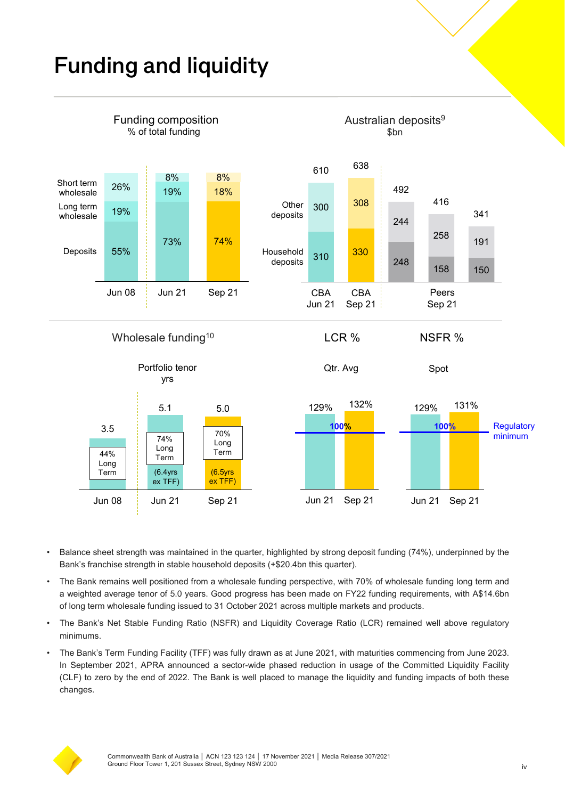### **Funding and liquidity**



- Balance sheet strength was maintained in the quarter, highlighted by strong deposit funding (74%), underpinned by the Bank's franchise strength in stable household deposits (+\$20.4bn this quarter).
- The Bank remains well positioned from a wholesale funding perspective, with 70% of wholesale funding long term and a weighted average tenor of 5.0 years. Good progress has been made on FY22 funding requirements, with A\$14.6bn of long term wholesale funding issued to 31 October 2021 across multiple markets and products.
- The Bank's Net Stable Funding Ratio (NSFR) and Liquidity Coverage Ratio (LCR) remained well above regulatory minimums.
- The Bank's Term Funding Facility (TFF) was fully drawn as at June 2021, with maturities commencing from June 2023. In September 2021, APRA announced a sector-wide phased reduction in usage of the Committed Liquidity Facility (CLF) to zero by the end of 2022. The Bank is well placed to manage the liquidity and funding impacts of both these changes.

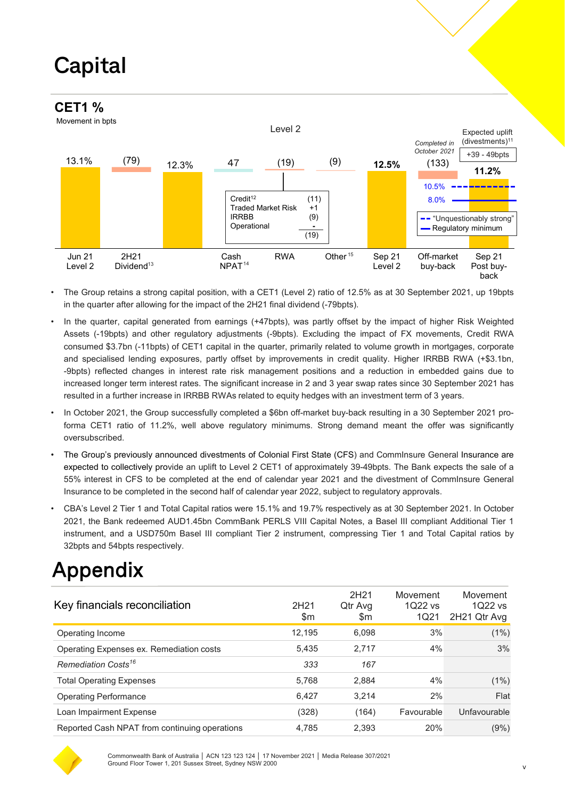## **Capital**

#### **CET1 %**

Movement in bpts



- The Group retains a strong capital position, with a CET1 (Level 2) ratio of 12.5% as at 30 September 2021, up 19bpts in the quarter after allowing for the impact of the 2H21 final dividend (-79bpts).
- In the quarter, capital generated from earnings (+47bpts), was partly offset by the impact of higher Risk Weighted Assets (-19bpts) and other regulatory adjustments (-9bpts). Excluding the impact of FX movements, Credit RWA consumed \$3.7bn (-11bpts) of CET1 capital in the quarter, primarily related to volume growth in mortgages, corporate and specialised lending exposures, partly offset by improvements in credit quality. Higher IRRBB RWA (+\$3.1bn, -9bpts) reflected changes in interest rate risk management positions and a reduction in embedded gains due to increased longer term interest rates. The significant increase in 2 and 3 year swap rates since 30 September 2021 has resulted in a further increase in IRRBB RWAs related to equity hedges with an investment term of 3 years.
- In October 2021, the Group successfully completed a \$6bn off-market buy-back resulting in a 30 September 2021 proforma CET1 ratio of 11.2%, well above regulatory minimums. Strong demand meant the offer was significantly oversubscribed.
- The Group's previously announced divestments of Colonial First State (CFS) and CommInsure General Insurance are expected to collectively provide an uplift to Level 2 CET1 of approximately 39-49bpts. The Bank expects the sale of a 55% interest in CFS to be completed at the end of calendar year 2021 and the divestment of CommInsure General Insurance to be completed in the second half of calendar year 2022, subject to regulatory approvals.
- CBA's Level 2 Tier 1 and Total Capital ratios were 15.1% and 19.7% respectively as at 30 September 2021. In October 2021, the Bank redeemed AUD1.45bn CommBank PERLS VIII Capital Notes, a Basel III compliant Additional Tier 1 instrument, and a USD750m Basel III compliant Tier 2 instrument, compressing Tier 1 and Total Capital ratios by 32bpts and 54bpts respectively.

### Appendix

| Key financials reconciliation                 | 2H <sub>21</sub><br>\$m | 2H <sub>21</sub><br>Qtr Avg<br>\$m | Movement<br>1022 vs<br>1Q21 | Movement<br>1022 vs<br>2H21 Qtr Avg |
|-----------------------------------------------|-------------------------|------------------------------------|-----------------------------|-------------------------------------|
| Operating Income                              | 12.195                  | 6.098                              | 3%                          | (1%)                                |
| Operating Expenses ex. Remediation costs      | 5.435                   | 2.717                              | 4%                          | 3%                                  |
| Remediation Costs <sup>16</sup>               | 333                     | 167                                |                             |                                     |
| <b>Total Operating Expenses</b>               | 5,768                   | 2,884                              | 4%                          | (1%)                                |
| <b>Operating Performance</b>                  | 6.427                   | 3.214                              | 2%                          | Flat                                |
| Loan Impairment Expense                       | (328)                   | (164)                              | Favourable                  | Unfavourable                        |
| Reported Cash NPAT from continuing operations | 4,785                   | 2,393                              | 20%                         | $(9\%)$                             |